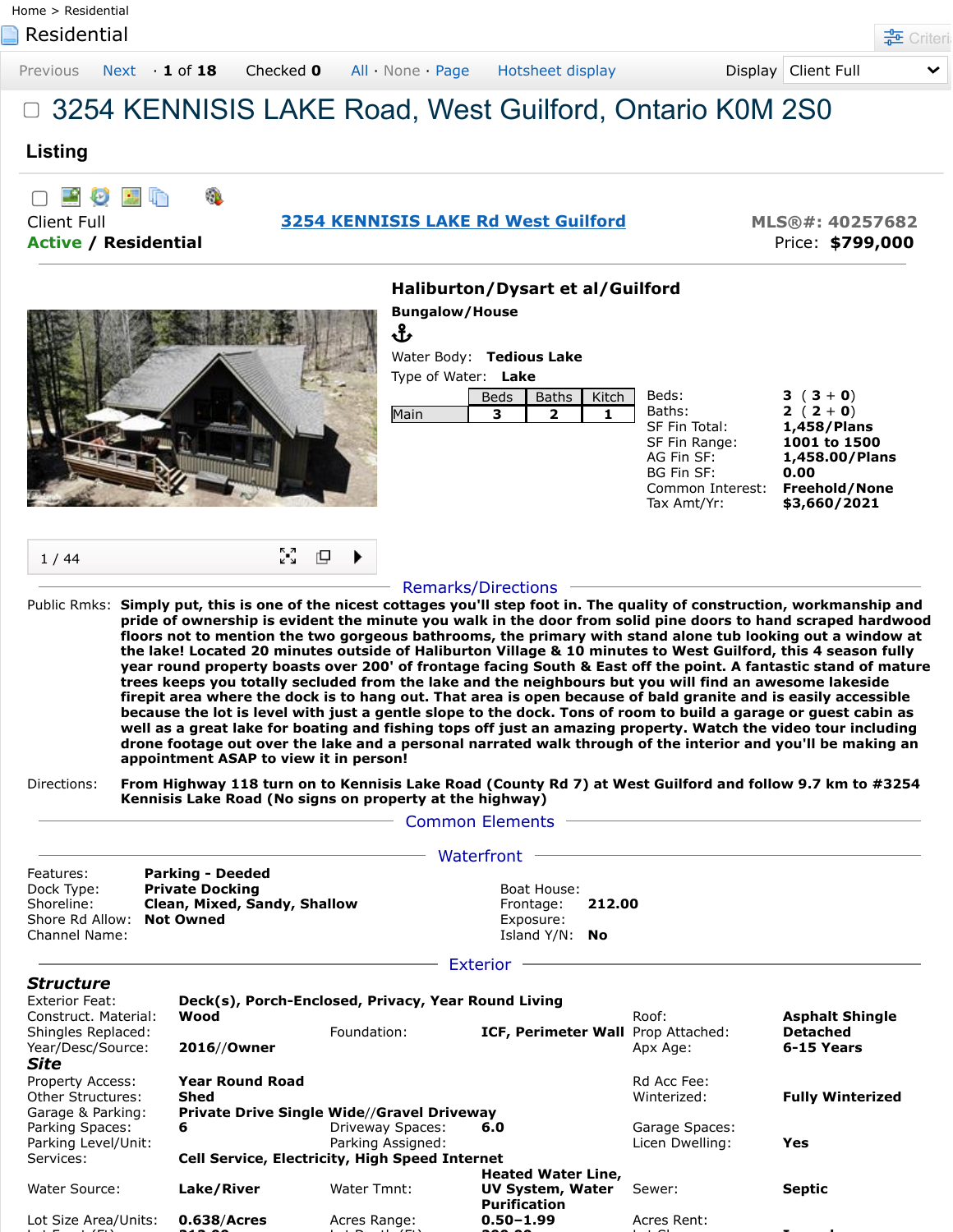| Residential             | Home > Residential                     |           |                                                                                                                                                                                                                                                                                                                                                                                                                                                                                                                                                                                                                                                                                                                                                                                                                                                                                                                                                                                                                                                                                                                                                                                                                |                                                                                                                                 |                                 | <b>TE</b> Criteri                                                              |
|-------------------------|----------------------------------------|-----------|----------------------------------------------------------------------------------------------------------------------------------------------------------------------------------------------------------------------------------------------------------------------------------------------------------------------------------------------------------------------------------------------------------------------------------------------------------------------------------------------------------------------------------------------------------------------------------------------------------------------------------------------------------------------------------------------------------------------------------------------------------------------------------------------------------------------------------------------------------------------------------------------------------------------------------------------------------------------------------------------------------------------------------------------------------------------------------------------------------------------------------------------------------------------------------------------------------------|---------------------------------------------------------------------------------------------------------------------------------|---------------------------------|--------------------------------------------------------------------------------|
| Previous                | $Next \cdot 1$ of 18                   | Checked 0 | All None Page<br>Hotsheet display                                                                                                                                                                                                                                                                                                                                                                                                                                                                                                                                                                                                                                                                                                                                                                                                                                                                                                                                                                                                                                                                                                                                                                              |                                                                                                                                 | Display Client Full             |                                                                                |
|                         |                                        |           | 3254 KENNISIS LAKE Road, West Guilford, Ontario K0M 2S0                                                                                                                                                                                                                                                                                                                                                                                                                                                                                                                                                                                                                                                                                                                                                                                                                                                                                                                                                                                                                                                                                                                                                        |                                                                                                                                 |                                 |                                                                                |
| Listing                 |                                        |           |                                                                                                                                                                                                                                                                                                                                                                                                                                                                                                                                                                                                                                                                                                                                                                                                                                                                                                                                                                                                                                                                                                                                                                                                                |                                                                                                                                 |                                 |                                                                                |
| Ø<br><b>Client Full</b> | <b>Active / Residential</b>            |           | <b>3254 KENNISIS LAKE Rd West Guilford</b>                                                                                                                                                                                                                                                                                                                                                                                                                                                                                                                                                                                                                                                                                                                                                                                                                                                                                                                                                                                                                                                                                                                                                                     |                                                                                                                                 |                                 | MLS®#: 40257682<br>Price: \$799,000                                            |
|                         |                                        |           | Haliburton/Dysart et al/Guilford                                                                                                                                                                                                                                                                                                                                                                                                                                                                                                                                                                                                                                                                                                                                                                                                                                                                                                                                                                                                                                                                                                                                                                               |                                                                                                                                 |                                 |                                                                                |
|                         |                                        |           | <b>Bungalow/House</b><br>Ֆ<br>Water Body: Tedious Lake<br>Type of Water: Lake<br><b>Baths</b><br><b>Beds</b><br>Main<br>3<br>$\mathbf{z}$                                                                                                                                                                                                                                                                                                                                                                                                                                                                                                                                                                                                                                                                                                                                                                                                                                                                                                                                                                                                                                                                      | Beds:<br>Kitch<br>Baths:<br>1.<br>SF Fin Total:<br>SF Fin Range:<br>AG Fin SF:<br>BG Fin SF:<br>Common Interest:<br>Tax Amt/Yr: | $3(3+0)$<br>2 $(2 + 0)$<br>0.00 | 1,458/Plans<br>1001 to 1500<br>1,458.00/Plans<br>Freehold/None<br>\$3,660/2021 |
| 1/44                    |                                        | ûN.<br>₽  |                                                                                                                                                                                                                                                                                                                                                                                                                                                                                                                                                                                                                                                                                                                                                                                                                                                                                                                                                                                                                                                                                                                                                                                                                |                                                                                                                                 |                                 |                                                                                |
|                         | appointment ASAP to view it in person! |           | <b>Remarks/Directions</b><br>Public Rmks: Simply put, this is one of the nicest cottages you'll step foot in. The quality of construction, workmanship and<br>pride of ownership is evident the minute you walk in the door from solid pine doors to hand scraped hardwood<br>floors not to mention the two gorgeous bathrooms, the primary with stand alone tub looking out a window at<br>the lake! Located 20 minutes outside of Haliburton Village & 10 minutes to West Guilford, this 4 season fully<br>year round property boasts over 200' of frontage facing South & East off the point. A fantastic stand of mature<br>trees keeps you totally secluded from the lake and the neighbours but you will find an awesome lakeside<br>firepit area where the dock is to hang out. That area is open because of bald granite and is easily accessible<br>because the lot is level with just a gentle slope to the dock. Tons of room to build a garage or guest cabin as<br>well as a great lake for boating and fishing tops off just an amazing property. Watch the video tour including<br>drone footage out over the lake and a personal narrated walk through of the interior and you'll be making an |                                                                                                                                 |                                 |                                                                                |
| Directions:             |                                        |           | From Highway 118 turn on to Kennisis Lake Road (County Rd 7) at West Guilford and follow 9.7 km to #3254<br>Kennisis Lake Road (No signs on property at the highway)                                                                                                                                                                                                                                                                                                                                                                                                                                                                                                                                                                                                                                                                                                                                                                                                                                                                                                                                                                                                                                           |                                                                                                                                 |                                 |                                                                                |
|                         |                                        |           | - Common Elements - Common Elements                                                                                                                                                                                                                                                                                                                                                                                                                                                                                                                                                                                                                                                                                                                                                                                                                                                                                                                                                                                                                                                                                                                                                                            |                                                                                                                                 |                                 |                                                                                |
|                         | <b>Parking - Deeded</b>                |           | Waterfront -<br>Boat House:                                                                                                                                                                                                                                                                                                                                                                                                                                                                                                                                                                                                                                                                                                                                                                                                                                                                                                                                                                                                                                                                                                                                                                                    |                                                                                                                                 |                                 |                                                                                |

|                                                   |                    |                                                |                                                       | <b>Asphalt Shingle</b>                                                                             |  |  |  |
|---------------------------------------------------|--------------------|------------------------------------------------|-------------------------------------------------------|----------------------------------------------------------------------------------------------------|--|--|--|
|                                                   | Foundation:        |                                                |                                                       | <b>Detached</b>                                                                                    |  |  |  |
| 2016//Owner                                       |                    |                                                | Apx Age:                                              | 6-15 Years                                                                                         |  |  |  |
|                                                   |                    |                                                |                                                       |                                                                                                    |  |  |  |
| <b>Year Round Road</b>                            |                    |                                                | Rd Acc Fee:                                           |                                                                                                    |  |  |  |
| Shed                                              |                    |                                                | Winterized:                                           | <b>Fully Winterized</b>                                                                            |  |  |  |
| <b>Private Drive Single Wide//Gravel Driveway</b> |                    |                                                |                                                       |                                                                                                    |  |  |  |
| 6                                                 | Driveway Spaces:   | 6.0                                            | Garage Spaces:                                        |                                                                                                    |  |  |  |
|                                                   | Parking Assigned:  |                                                | Licen Dwelling:                                       | Yes                                                                                                |  |  |  |
|                                                   |                    |                                                |                                                       |                                                                                                    |  |  |  |
|                                                   |                    | <b>Heated Water Line,</b>                      |                                                       |                                                                                                    |  |  |  |
|                                                   | Water Tmnt:        | <b>UV System, Water</b><br><b>Purification</b> | Sewer:                                                | <b>Septic</b>                                                                                      |  |  |  |
| $0.638/A$ cres                                    | Acres Range:       | $0.50 - 1.99$                                  | Acres Rent:                                           |                                                                                                    |  |  |  |
|                                                   | Wood<br>Lake/River |                                                | <b>Cell Service, Electricity, High Speed Internet</b> | Deck(s), Porch-Enclosed, Privacy, Year Round Living<br>Roof:<br>ICF, Perimeter Wall Prop Attached: |  |  |  |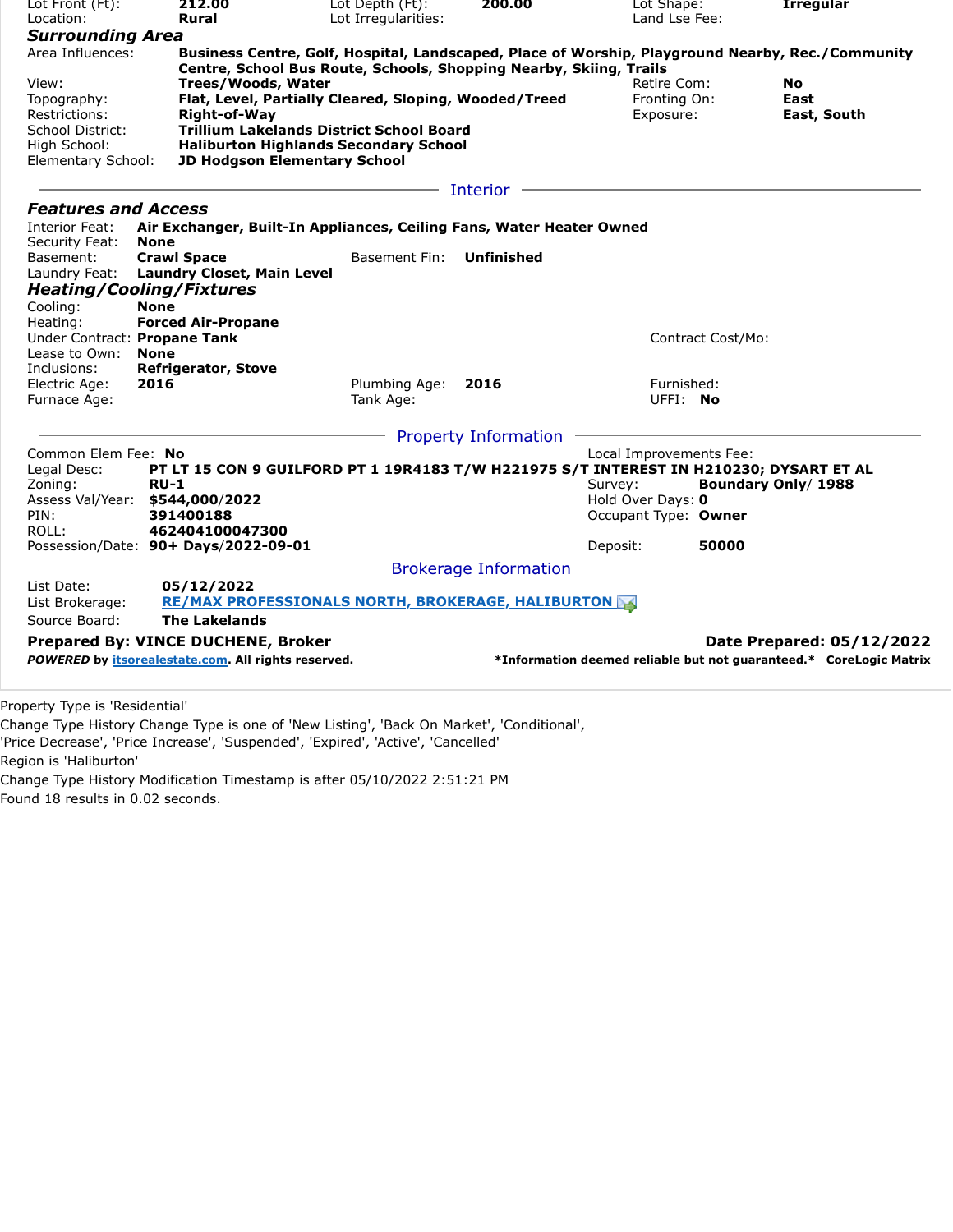| Lot Irregularities:<br>Land Lse Fee:<br>Location:<br>Rural<br><b>Surrounding Area</b><br>Area Influences:<br>Business Centre, Golf, Hospital, Landscaped, Place of Worship, Playground Nearby, Rec./Community<br>Centre, School Bus Route, Schools, Shopping Nearby, Skiing, Trails<br><b>Trees/Woods, Water</b><br>Retire Com:<br>View:<br>No.<br>Flat, Level, Partially Cleared, Sloping, Wooded/Treed<br>Fronting On:<br>East<br>Topography:<br>Restrictions:<br>Right-of-Way<br>Exposure:<br>East, South<br><b>Trillium Lakelands District School Board</b><br>School District:<br>High School:<br><b>Haliburton Highlands Secondary School</b><br><b>JD Hodgson Elementary School</b><br>Elementary School:<br>Interior<br><b>Features and Access</b><br>Interior Feat:<br>Air Exchanger, Built-In Appliances, Ceiling Fans, Water Heater Owned<br>Security Feat:<br><b>None</b><br><b>Crawl Space</b><br>Basement Fin:<br><b>Unfinished</b><br>Basement:<br><b>Laundry Closet, Main Level</b><br>Laundry Feat:<br><b>Heating/Cooling/Fixtures</b><br><b>None</b><br>Cooling:<br>Heating:<br><b>Forced Air-Propane</b><br>Under Contract: Propane Tank<br>Contract Cost/Mo:<br>Lease to Own:<br><b>None</b><br><b>Refrigerator, Stove</b><br>Inclusions:<br>Electric Age:<br>2016<br>Plumbing Age:<br>2016<br>Furnished:<br>UFFI: No<br>Furnace Age:<br>Tank Age:<br><b>Property Information</b><br>Common Elem Fee: No<br>Local Improvements Fee:<br>PT LT 15 CON 9 GUILFORD PT 1 19R4183 T/W H221975 S/T INTEREST IN H210230; DYSART ET AL<br>Legal Desc:<br>Zoning:<br><b>RU-1</b><br>Survey:<br>Boundary Only/ 1988<br>Assess Val/Year:<br>\$544,000/2022<br>Hold Over Days: 0<br>Occupant Type: Owner<br>PIN:<br>391400188<br>ROLL:<br>462404100047300<br>Possession/Date: 90+ Days/2022-09-01<br>Deposit:<br>50000<br><b>Brokerage Information</b><br>List Date:<br>05/12/2022<br><b>RE/MAX PROFESSIONALS NORTH, BROKERAGE, HALIBURTON</b><br>List Brokerage:<br>Source Board:<br><b>The Lakelands</b><br><b>Prepared By: VINCE DUCHENE, Broker</b><br>Date Prepared: 05/12/2022<br>POWERED by itsorealestate.com. All rights reserved.<br>*Information deemed reliable but not guaranteed.* CoreLogic Matrix | Lot Front (Ft): | 212.00 | Lot Depth (Ft): | 200.00 | Lot Shape: | <b>Irregular</b> |  |  |
|--------------------------------------------------------------------------------------------------------------------------------------------------------------------------------------------------------------------------------------------------------------------------------------------------------------------------------------------------------------------------------------------------------------------------------------------------------------------------------------------------------------------------------------------------------------------------------------------------------------------------------------------------------------------------------------------------------------------------------------------------------------------------------------------------------------------------------------------------------------------------------------------------------------------------------------------------------------------------------------------------------------------------------------------------------------------------------------------------------------------------------------------------------------------------------------------------------------------------------------------------------------------------------------------------------------------------------------------------------------------------------------------------------------------------------------------------------------------------------------------------------------------------------------------------------------------------------------------------------------------------------------------------------------------------------------------------------------------------------------------------------------------------------------------------------------------------------------------------------------------------------------------------------------------------------------------------------------------------------------------------------------------------------------------------------------------------------------------------------------------------------------------------------------------------------------------------------------------------|-----------------|--------|-----------------|--------|------------|------------------|--|--|
|                                                                                                                                                                                                                                                                                                                                                                                                                                                                                                                                                                                                                                                                                                                                                                                                                                                                                                                                                                                                                                                                                                                                                                                                                                                                                                                                                                                                                                                                                                                                                                                                                                                                                                                                                                                                                                                                                                                                                                                                                                                                                                                                                                                                                          |                 |        |                 |        |            |                  |  |  |
|                                                                                                                                                                                                                                                                                                                                                                                                                                                                                                                                                                                                                                                                                                                                                                                                                                                                                                                                                                                                                                                                                                                                                                                                                                                                                                                                                                                                                                                                                                                                                                                                                                                                                                                                                                                                                                                                                                                                                                                                                                                                                                                                                                                                                          |                 |        |                 |        |            |                  |  |  |
|                                                                                                                                                                                                                                                                                                                                                                                                                                                                                                                                                                                                                                                                                                                                                                                                                                                                                                                                                                                                                                                                                                                                                                                                                                                                                                                                                                                                                                                                                                                                                                                                                                                                                                                                                                                                                                                                                                                                                                                                                                                                                                                                                                                                                          |                 |        |                 |        |            |                  |  |  |
|                                                                                                                                                                                                                                                                                                                                                                                                                                                                                                                                                                                                                                                                                                                                                                                                                                                                                                                                                                                                                                                                                                                                                                                                                                                                                                                                                                                                                                                                                                                                                                                                                                                                                                                                                                                                                                                                                                                                                                                                                                                                                                                                                                                                                          |                 |        |                 |        |            |                  |  |  |
|                                                                                                                                                                                                                                                                                                                                                                                                                                                                                                                                                                                                                                                                                                                                                                                                                                                                                                                                                                                                                                                                                                                                                                                                                                                                                                                                                                                                                                                                                                                                                                                                                                                                                                                                                                                                                                                                                                                                                                                                                                                                                                                                                                                                                          |                 |        |                 |        |            |                  |  |  |
|                                                                                                                                                                                                                                                                                                                                                                                                                                                                                                                                                                                                                                                                                                                                                                                                                                                                                                                                                                                                                                                                                                                                                                                                                                                                                                                                                                                                                                                                                                                                                                                                                                                                                                                                                                                                                                                                                                                                                                                                                                                                                                                                                                                                                          |                 |        |                 |        |            |                  |  |  |
|                                                                                                                                                                                                                                                                                                                                                                                                                                                                                                                                                                                                                                                                                                                                                                                                                                                                                                                                                                                                                                                                                                                                                                                                                                                                                                                                                                                                                                                                                                                                                                                                                                                                                                                                                                                                                                                                                                                                                                                                                                                                                                                                                                                                                          |                 |        |                 |        |            |                  |  |  |
|                                                                                                                                                                                                                                                                                                                                                                                                                                                                                                                                                                                                                                                                                                                                                                                                                                                                                                                                                                                                                                                                                                                                                                                                                                                                                                                                                                                                                                                                                                                                                                                                                                                                                                                                                                                                                                                                                                                                                                                                                                                                                                                                                                                                                          |                 |        |                 |        |            |                  |  |  |
|                                                                                                                                                                                                                                                                                                                                                                                                                                                                                                                                                                                                                                                                                                                                                                                                                                                                                                                                                                                                                                                                                                                                                                                                                                                                                                                                                                                                                                                                                                                                                                                                                                                                                                                                                                                                                                                                                                                                                                                                                                                                                                                                                                                                                          |                 |        |                 |        |            |                  |  |  |
|                                                                                                                                                                                                                                                                                                                                                                                                                                                                                                                                                                                                                                                                                                                                                                                                                                                                                                                                                                                                                                                                                                                                                                                                                                                                                                                                                                                                                                                                                                                                                                                                                                                                                                                                                                                                                                                                                                                                                                                                                                                                                                                                                                                                                          |                 |        |                 |        |            |                  |  |  |
|                                                                                                                                                                                                                                                                                                                                                                                                                                                                                                                                                                                                                                                                                                                                                                                                                                                                                                                                                                                                                                                                                                                                                                                                                                                                                                                                                                                                                                                                                                                                                                                                                                                                                                                                                                                                                                                                                                                                                                                                                                                                                                                                                                                                                          |                 |        |                 |        |            |                  |  |  |
|                                                                                                                                                                                                                                                                                                                                                                                                                                                                                                                                                                                                                                                                                                                                                                                                                                                                                                                                                                                                                                                                                                                                                                                                                                                                                                                                                                                                                                                                                                                                                                                                                                                                                                                                                                                                                                                                                                                                                                                                                                                                                                                                                                                                                          |                 |        |                 |        |            |                  |  |  |
|                                                                                                                                                                                                                                                                                                                                                                                                                                                                                                                                                                                                                                                                                                                                                                                                                                                                                                                                                                                                                                                                                                                                                                                                                                                                                                                                                                                                                                                                                                                                                                                                                                                                                                                                                                                                                                                                                                                                                                                                                                                                                                                                                                                                                          |                 |        |                 |        |            |                  |  |  |
|                                                                                                                                                                                                                                                                                                                                                                                                                                                                                                                                                                                                                                                                                                                                                                                                                                                                                                                                                                                                                                                                                                                                                                                                                                                                                                                                                                                                                                                                                                                                                                                                                                                                                                                                                                                                                                                                                                                                                                                                                                                                                                                                                                                                                          |                 |        |                 |        |            |                  |  |  |
|                                                                                                                                                                                                                                                                                                                                                                                                                                                                                                                                                                                                                                                                                                                                                                                                                                                                                                                                                                                                                                                                                                                                                                                                                                                                                                                                                                                                                                                                                                                                                                                                                                                                                                                                                                                                                                                                                                                                                                                                                                                                                                                                                                                                                          |                 |        |                 |        |            |                  |  |  |
|                                                                                                                                                                                                                                                                                                                                                                                                                                                                                                                                                                                                                                                                                                                                                                                                                                                                                                                                                                                                                                                                                                                                                                                                                                                                                                                                                                                                                                                                                                                                                                                                                                                                                                                                                                                                                                                                                                                                                                                                                                                                                                                                                                                                                          |                 |        |                 |        |            |                  |  |  |
|                                                                                                                                                                                                                                                                                                                                                                                                                                                                                                                                                                                                                                                                                                                                                                                                                                                                                                                                                                                                                                                                                                                                                                                                                                                                                                                                                                                                                                                                                                                                                                                                                                                                                                                                                                                                                                                                                                                                                                                                                                                                                                                                                                                                                          |                 |        |                 |        |            |                  |  |  |
|                                                                                                                                                                                                                                                                                                                                                                                                                                                                                                                                                                                                                                                                                                                                                                                                                                                                                                                                                                                                                                                                                                                                                                                                                                                                                                                                                                                                                                                                                                                                                                                                                                                                                                                                                                                                                                                                                                                                                                                                                                                                                                                                                                                                                          |                 |        |                 |        |            |                  |  |  |
|                                                                                                                                                                                                                                                                                                                                                                                                                                                                                                                                                                                                                                                                                                                                                                                                                                                                                                                                                                                                                                                                                                                                                                                                                                                                                                                                                                                                                                                                                                                                                                                                                                                                                                                                                                                                                                                                                                                                                                                                                                                                                                                                                                                                                          |                 |        |                 |        |            |                  |  |  |
|                                                                                                                                                                                                                                                                                                                                                                                                                                                                                                                                                                                                                                                                                                                                                                                                                                                                                                                                                                                                                                                                                                                                                                                                                                                                                                                                                                                                                                                                                                                                                                                                                                                                                                                                                                                                                                                                                                                                                                                                                                                                                                                                                                                                                          |                 |        |                 |        |            |                  |  |  |
|                                                                                                                                                                                                                                                                                                                                                                                                                                                                                                                                                                                                                                                                                                                                                                                                                                                                                                                                                                                                                                                                                                                                                                                                                                                                                                                                                                                                                                                                                                                                                                                                                                                                                                                                                                                                                                                                                                                                                                                                                                                                                                                                                                                                                          |                 |        |                 |        |            |                  |  |  |
|                                                                                                                                                                                                                                                                                                                                                                                                                                                                                                                                                                                                                                                                                                                                                                                                                                                                                                                                                                                                                                                                                                                                                                                                                                                                                                                                                                                                                                                                                                                                                                                                                                                                                                                                                                                                                                                                                                                                                                                                                                                                                                                                                                                                                          |                 |        |                 |        |            |                  |  |  |
|                                                                                                                                                                                                                                                                                                                                                                                                                                                                                                                                                                                                                                                                                                                                                                                                                                                                                                                                                                                                                                                                                                                                                                                                                                                                                                                                                                                                                                                                                                                                                                                                                                                                                                                                                                                                                                                                                                                                                                                                                                                                                                                                                                                                                          |                 |        |                 |        |            |                  |  |  |
|                                                                                                                                                                                                                                                                                                                                                                                                                                                                                                                                                                                                                                                                                                                                                                                                                                                                                                                                                                                                                                                                                                                                                                                                                                                                                                                                                                                                                                                                                                                                                                                                                                                                                                                                                                                                                                                                                                                                                                                                                                                                                                                                                                                                                          |                 |        |                 |        |            |                  |  |  |
|                                                                                                                                                                                                                                                                                                                                                                                                                                                                                                                                                                                                                                                                                                                                                                                                                                                                                                                                                                                                                                                                                                                                                                                                                                                                                                                                                                                                                                                                                                                                                                                                                                                                                                                                                                                                                                                                                                                                                                                                                                                                                                                                                                                                                          |                 |        |                 |        |            |                  |  |  |
|                                                                                                                                                                                                                                                                                                                                                                                                                                                                                                                                                                                                                                                                                                                                                                                                                                                                                                                                                                                                                                                                                                                                                                                                                                                                                                                                                                                                                                                                                                                                                                                                                                                                                                                                                                                                                                                                                                                                                                                                                                                                                                                                                                                                                          |                 |        |                 |        |            |                  |  |  |
|                                                                                                                                                                                                                                                                                                                                                                                                                                                                                                                                                                                                                                                                                                                                                                                                                                                                                                                                                                                                                                                                                                                                                                                                                                                                                                                                                                                                                                                                                                                                                                                                                                                                                                                                                                                                                                                                                                                                                                                                                                                                                                                                                                                                                          |                 |        |                 |        |            |                  |  |  |
|                                                                                                                                                                                                                                                                                                                                                                                                                                                                                                                                                                                                                                                                                                                                                                                                                                                                                                                                                                                                                                                                                                                                                                                                                                                                                                                                                                                                                                                                                                                                                                                                                                                                                                                                                                                                                                                                                                                                                                                                                                                                                                                                                                                                                          |                 |        |                 |        |            |                  |  |  |
|                                                                                                                                                                                                                                                                                                                                                                                                                                                                                                                                                                                                                                                                                                                                                                                                                                                                                                                                                                                                                                                                                                                                                                                                                                                                                                                                                                                                                                                                                                                                                                                                                                                                                                                                                                                                                                                                                                                                                                                                                                                                                                                                                                                                                          |                 |        |                 |        |            |                  |  |  |
|                                                                                                                                                                                                                                                                                                                                                                                                                                                                                                                                                                                                                                                                                                                                                                                                                                                                                                                                                                                                                                                                                                                                                                                                                                                                                                                                                                                                                                                                                                                                                                                                                                                                                                                                                                                                                                                                                                                                                                                                                                                                                                                                                                                                                          |                 |        |                 |        |            |                  |  |  |
|                                                                                                                                                                                                                                                                                                                                                                                                                                                                                                                                                                                                                                                                                                                                                                                                                                                                                                                                                                                                                                                                                                                                                                                                                                                                                                                                                                                                                                                                                                                                                                                                                                                                                                                                                                                                                                                                                                                                                                                                                                                                                                                                                                                                                          |                 |        |                 |        |            |                  |  |  |
|                                                                                                                                                                                                                                                                                                                                                                                                                                                                                                                                                                                                                                                                                                                                                                                                                                                                                                                                                                                                                                                                                                                                                                                                                                                                                                                                                                                                                                                                                                                                                                                                                                                                                                                                                                                                                                                                                                                                                                                                                                                                                                                                                                                                                          |                 |        |                 |        |            |                  |  |  |
|                                                                                                                                                                                                                                                                                                                                                                                                                                                                                                                                                                                                                                                                                                                                                                                                                                                                                                                                                                                                                                                                                                                                                                                                                                                                                                                                                                                                                                                                                                                                                                                                                                                                                                                                                                                                                                                                                                                                                                                                                                                                                                                                                                                                                          |                 |        |                 |        |            |                  |  |  |
|                                                                                                                                                                                                                                                                                                                                                                                                                                                                                                                                                                                                                                                                                                                                                                                                                                                                                                                                                                                                                                                                                                                                                                                                                                                                                                                                                                                                                                                                                                                                                                                                                                                                                                                                                                                                                                                                                                                                                                                                                                                                                                                                                                                                                          |                 |        |                 |        |            |                  |  |  |
|                                                                                                                                                                                                                                                                                                                                                                                                                                                                                                                                                                                                                                                                                                                                                                                                                                                                                                                                                                                                                                                                                                                                                                                                                                                                                                                                                                                                                                                                                                                                                                                                                                                                                                                                                                                                                                                                                                                                                                                                                                                                                                                                                                                                                          |                 |        |                 |        |            |                  |  |  |
|                                                                                                                                                                                                                                                                                                                                                                                                                                                                                                                                                                                                                                                                                                                                                                                                                                                                                                                                                                                                                                                                                                                                                                                                                                                                                                                                                                                                                                                                                                                                                                                                                                                                                                                                                                                                                                                                                                                                                                                                                                                                                                                                                                                                                          |                 |        |                 |        |            |                  |  |  |
|                                                                                                                                                                                                                                                                                                                                                                                                                                                                                                                                                                                                                                                                                                                                                                                                                                                                                                                                                                                                                                                                                                                                                                                                                                                                                                                                                                                                                                                                                                                                                                                                                                                                                                                                                                                                                                                                                                                                                                                                                                                                                                                                                                                                                          |                 |        |                 |        |            |                  |  |  |

Property Type is 'Residential'

Change Type History Change Type is one of 'New Listing', 'Back On Market', 'Conditional',

'Price Decrease', 'Price Increase', 'Suspended', 'Expired', 'Active', 'Cancelled'

Region is 'Haliburton'

Change Type History Modification Timestamp is after 05/10/2022 2:51:21 PM Found 18 results in 0.02 seconds.